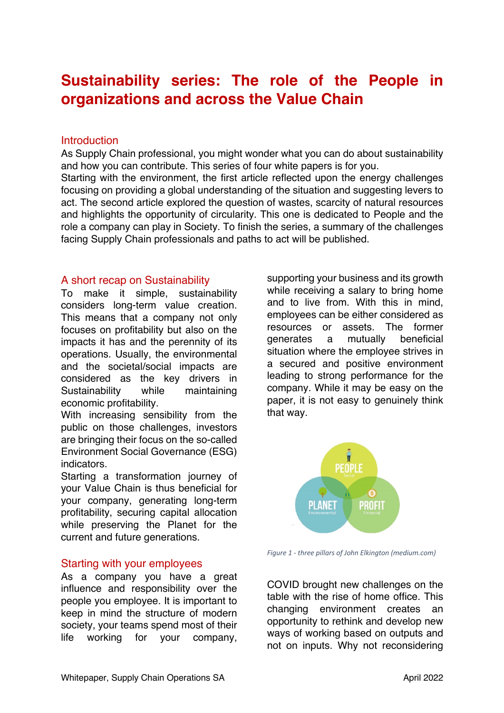# **Sustainability series: The role of the People in organizations and across the Value Chain**

#### **Introduction**

As Supply Chain professional, you might wonder what you can do about sustainability and how you can contribute. This series of four white papers is for you. Starting with the environment, the first article reflected upon the energy challenges focusing on providing a global understanding of the situation and suggesting levers to act. The second article explored the question of wastes, scarcity of natural resources and highlights the opportunity of circularity. This one is dedicated to People and the role a company can play in Society. To finish the series, a summary of the challenges facing Supply Chain professionals and paths to act will be published.

#### A short recap on Sustainability

To make it simple, sustainability considers long-term value creation. This means that a company not only focuses on profitability but also on the impacts it has and the perennity of its operations. Usually, the environmental and the societal/social impacts are considered as the key drivers in Sustainability while maintaining economic profitability.

With increasing sensibility from the public on those challenges, investors are bringing their focus on the so-called Environment Social Governance (ESG) indicators.

Starting a transformation journey of your Value Chain is thus beneficial for your company, generating long-term profitability, securing capital allocation while preserving the Planet for the current and future generations.

### Starting with your employees

As a company you have a great influence and responsibility over the people you employee. It is important to keep in mind the structure of modern society, your teams spend most of their life working for your company,

supporting your business and its growth while receiving a salary to bring home and to live from. With this in mind, employees can be either considered as resources or assets. The former generates a mutually beneficial situation where the employee strives in a secured and positive environment leading to strong performance for the company. While it may be easy on the paper, it is not easy to genuinely think that way.



*Figure 1 - three pillars of John Elkington (medium.com)*

COVID brought new challenges on the table with the rise of home office. This changing environment creates an opportunity to rethink and develop new ways of working based on outputs and not on inputs. Why not reconsidering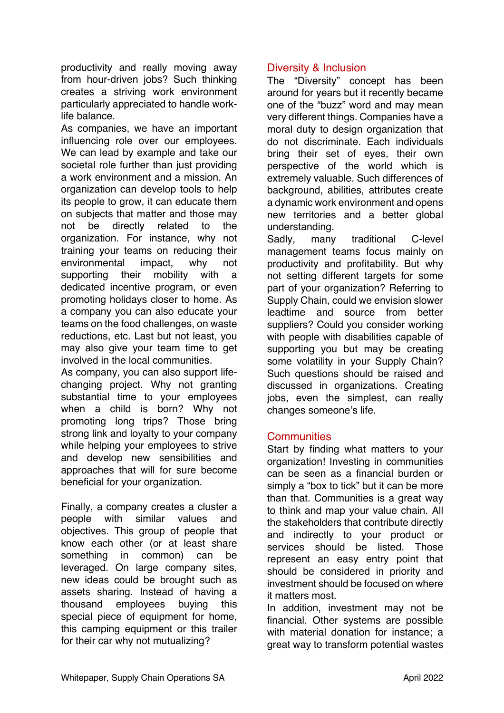productivity and really moving away from hour-driven jobs? Such thinking creates a striving work environment particularly appreciated to handle worklife balance.

As companies, we have an important influencing role over our employees. We can lead by example and take our societal role further than just providing a work environment and a mission. An organization can develop tools to help its people to grow, it can educate them on subjects that matter and those may not be directly related to the organization. For instance, why not training your teams on reducing their environmental impact, why not supporting their mobility with a dedicated incentive program, or even promoting holidays closer to home. As a company you can also educate your teams on the food challenges, on waste reductions, etc. Last but not least, you may also give your team time to get involved in the local communities.

As company, you can also support lifechanging project. Why not granting substantial time to your employees when a child is born? Why not promoting long trips? Those bring strong link and loyalty to your company while helping your employees to strive and develop new sensibilities and approaches that will for sure become beneficial for your organization.

Finally, a company creates a cluster a people with similar values and objectives. This group of people that know each other (or at least share something in common) can be leveraged. On large company sites, new ideas could be brought such as assets sharing. Instead of having a thousand employees buying this special piece of equipment for home, this camping equipment or this trailer for their car why not mutualizing?

## Diversity & Inclusion

The "Diversity" concept has been around for years but it recently became one of the "buzz" word and may mean very different things. Companies have a moral duty to design organization that do not discriminate. Each individuals bring their set of eyes, their own perspective of the world which is extremely valuable. Such differences of background, abilities, attributes create a dynamic work environment and opens new territories and a better global understanding.

Sadly, many traditional C-level management teams focus mainly on productivity and profitability. But why not setting different targets for some part of your organization? Referring to Supply Chain, could we envision slower leadtime and source from better suppliers? Could you consider working with people with disabilities capable of supporting you but may be creating some volatility in your Supply Chain? Such questions should be raised and discussed in organizations. Creating jobs, even the simplest, can really changes someone's life.

### **Communities**

Start by finding what matters to your organization! Investing in communities can be seen as a financial burden or simply a "box to tick" but it can be more than that. Communities is a great way to think and map your value chain. All the stakeholders that contribute directly and indirectly to your product or services should be listed. Those represent an easy entry point that should be considered in priority and investment should be focused on where it matters most.

In addition, investment may not be financial. Other systems are possible with material donation for instance; a great way to transform potential wastes